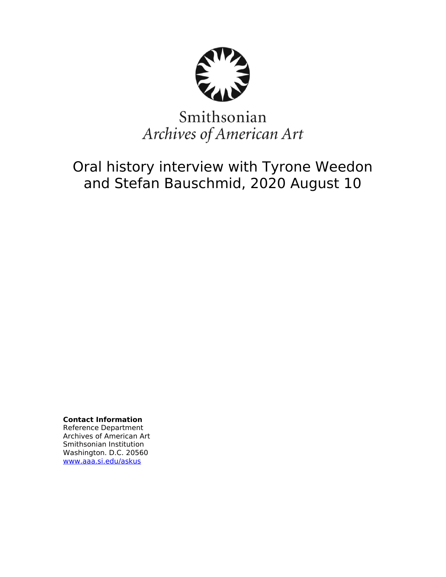

# Smithsonian Archives of American Art

Oral history interview with Tyrone Weedon and Stefan Bauschmid, 2020 August 10

**Contact Information** Reference Department Archives of American Art Smithsonian Institution Washington. D.C. 20560 [www.aaa.si.edu/askus](http://www.aaa.si.edu/askus)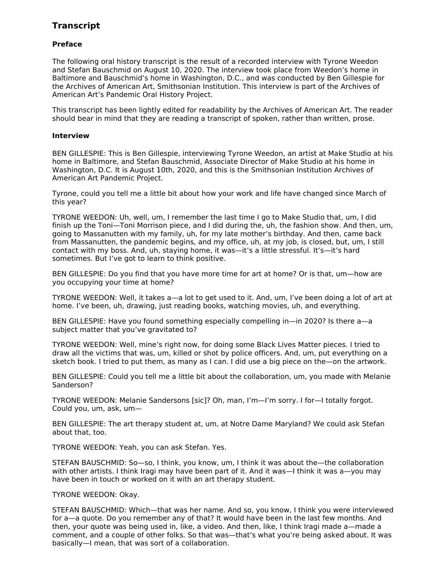## **Transcript**

### **Preface**

The following oral history transcript is the result of a recorded interview with Tyrone Weedon and Stefan Bauschmid on August 10, 2020. The interview took place from Weedon's home in Baltimore and Bauschmid's home in Washington, D.C., and was conducted by Ben Gillespie for the Archives of American Art, Smithsonian Institution. This interview is part of the Archives of American Art's Pandemic Oral History Project.

This transcript has been lightly edited for readability by the Archives of American Art. The reader should bear in mind that they are reading a transcript of spoken, rather than written, prose.

#### **Interview**

BEN GILLESPIE: This is Ben Gillespie, interviewing Tyrone Weedon, an artist at Make Studio at his home in Baltimore, and Stefan Bauschmid, Associate Director of Make Studio at his home in Washington, D.C. It is August 10th, 2020, and this is the Smithsonian Institution Archives of American Art Pandemic Project.

Tyrone, could you tell me a little bit about how your work and life have changed since March of this year?

TYRONE WEEDON: Uh, well, um, I remember the last time I go to Make Studio that, um, I did finish up the Toni—Toni Morrison piece, and I did during the, uh, the fashion show. And then, um, going to Massanutten with my family, uh, for my late mother's birthday. And then, came back from Massanutten, the pandemic begins, and my office, uh, at my job, is closed, but, um, I still contact with my boss. And, uh, staying home, it was—it's a little stressful. It's—it's hard sometimes. But I've got to learn to think positive.

BEN GILLESPIE: Do you find that you have more time for art at home? Or is that, um—how are you occupying your time at home?

TYRONE WEEDON: Well, it takes a—a lot to get used to it. And, um, I've been doing a lot of art at home. I've been, uh, drawing, just reading books, watching movies, uh, and everything.

BEN GILLESPIE: Have you found something especially compelling in—in 2020? Is there a—a subject matter that you've gravitated to?

TYRONE WEEDON: Well, mine's right now, for doing some Black Lives Matter pieces. I tried to draw all the victims that was, um, killed or shot by police officers. And, um, put everything on a sketch book. I tried to put them, as many as I can. I did use a big piece on the—on the artwork.

BEN GILLESPIE: Could you tell me a little bit about the collaboration, um, you made with Melanie Sanderson?

TYRONE WEEDON: Melanie Sandersons [sic]? Oh, man, I'm—I'm sorry. I for—I totally forgot. Could you, um, ask, um—

BEN GILLESPIE: The art therapy student at, um, at Notre Dame Maryland? We could ask Stefan about that, too.

TYRONE WEEDON: Yeah, you can ask Stefan. Yes.

STEFAN BAUSCHMID: So—so, I think, you know, um, I think it was about the—the collaboration with other artists. I think Iragi may have been part of it. And it was—I think it was a—you may have been in touch or worked on it with an art therapy student.

#### TYRONE WEEDON: Okay.

STEFAN BAUSCHMID: Which—that was her name. And so, you know, I think you were interviewed for a—a quote. Do you remember any of that? It would have been in the last few months. And then, your quote was being used in, like, a video. And then, like, I think Iragi made a—made a comment, and a couple of other folks. So that was—that's what you're being asked about. It was basically—I mean, that was sort of a collaboration.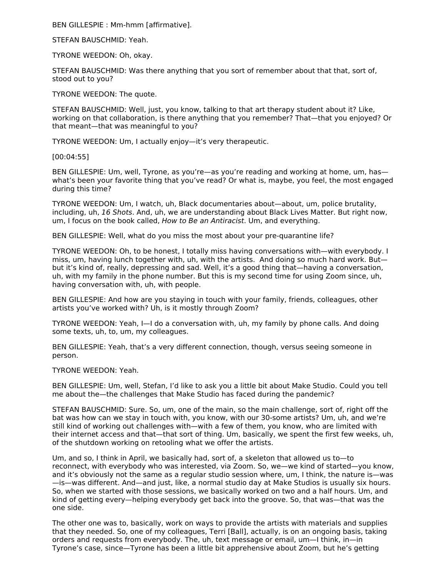BEN GILLESPIE : Mm-hmm [affirmative].

STEFAN BAUSCHMID: Yeah.

TYRONE WEEDON: Oh, okay.

STEFAN BAUSCHMID: Was there anything that you sort of remember about that that, sort of, stood out to you?

TYRONE WEEDON: The quote.

STEFAN BAUSCHMID: Well, just, you know, talking to that art therapy student about it? Like, working on that collaboration, is there anything that you remember? That—that you enjoyed? Or that meant—that was meaningful to you?

TYRONE WEEDON: Um, I actually enjoy—it's very therapeutic.

[00:04:55]

BEN GILLESPIE: Um, well, Tyrone, as you're—as you're reading and working at home, um, has what's been your favorite thing that you've read? Or what is, maybe, you feel, the most engaged during this time?

TYRONE WEEDON: Um, I watch, uh, Black documentaries about—about, um, police brutality, including, uh, 16 Shots. And, uh, we are understanding about Black Lives Matter. But right now, um, I focus on the book called, How to Be an Antiracist. Um, and everything.

BEN GILLESPIE: Well, what do you miss the most about your pre-quarantine life?

TYRONE WEEDON: Oh, to be honest, I totally miss having conversations with—with everybody. I miss, um, having lunch together with, uh, with the artists. And doing so much hard work. But but it's kind of, really, depressing and sad. Well, it's a good thing that—having a conversation, uh, with my family in the phone number. But this is my second time for using Zoom since, uh, having conversation with, uh, with people.

BEN GILLESPIE: And how are you staying in touch with your family, friends, colleagues, other artists you've worked with? Uh, is it mostly through Zoom?

TYRONE WEEDON: Yeah, I—I do a conversation with, uh, my family by phone calls. And doing some texts, uh, to, um, my colleagues.

BEN GILLESPIE: Yeah, that's a very different connection, though, versus seeing someone in person.

TYRONE WEEDON: Yeah.

BEN GILLESPIE: Um, well, Stefan, I'd like to ask you a little bit about Make Studio. Could you tell me about the—the challenges that Make Studio has faced during the pandemic?

STEFAN BAUSCHMID: Sure. So, um, one of the main, so the main challenge, sort of, right off the bat was how can we stay in touch with, you know, with our 30-some artists? Um, uh, and we're still kind of working out challenges with—with a few of them, you know, who are limited with their internet access and that—that sort of thing. Um, basically, we spent the first few weeks, uh, of the shutdown working on retooling what we offer the artists.

Um, and so, I think in April, we basically had, sort of, a skeleton that allowed us to—to reconnect, with everybody who was interested, via Zoom. So, we—we kind of started—you know, and it's obviously not the same as a regular studio session where, um, I think, the nature is—was —is—was different. And—and just, like, a normal studio day at Make Studios is usually six hours. So, when we started with those sessions, we basically worked on two and a half hours. Um, and kind of getting every—helping everybody get back into the groove. So, that was—that was the one side.

The other one was to, basically, work on ways to provide the artists with materials and supplies that they needed. So, one of my colleagues, Terri [Ball], actually, is on an ongoing basis, taking orders and requests from everybody. The, uh, text message or email, um—I think, in—in Tyrone's case, since—Tyrone has been a little bit apprehensive about Zoom, but he's getting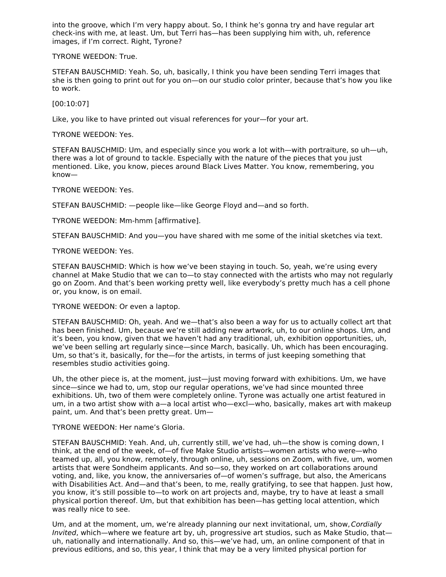into the groove, which I'm very happy about. So, I think he's gonna try and have regular art check-ins with me, at least. Um, but Terri has—has been supplying him with, uh, reference images, if I'm correct. Right, Tyrone?

TYRONE WEEDON: True.

STEFAN BAUSCHMID: Yeah. So, uh, basically, I think you have been sending Terri images that she is then going to print out for you on—on our studio color printer, because that's how you like to work.

[00:10:07]

Like, you like to have printed out visual references for your—for your art.

TYRONE WEEDON: Yes.

STEFAN BAUSCHMID: Um, and especially since you work a lot with—with portraiture, so uh—uh, there was a lot of ground to tackle. Especially with the nature of the pieces that you just mentioned. Like, you know, pieces around Black Lives Matter. You know, remembering, you know—

TYRONE WEEDON: Yes.

STEFAN BAUSCHMID: —people like—like George Floyd and—and so forth.

TYRONE WEEDON: Mm-hmm [affirmative].

STEFAN BAUSCHMID: And you—you have shared with me some of the initial sketches via text.

TYRONE WEEDON: Yes.

STEFAN BAUSCHMID: Which is how we've been staying in touch. So, yeah, we're using every channel at Make Studio that we can to—to stay connected with the artists who may not regularly go on Zoom. And that's been working pretty well, like everybody's pretty much has a cell phone or, you know, is on email.

TYRONE WEEDON: Or even a laptop.

STEFAN BAUSCHMID: Oh, yeah. And we—that's also been a way for us to actually collect art that has been finished. Um, because we're still adding new artwork, uh, to our online shops. Um, and it's been, you know, given that we haven't had any traditional, uh, exhibition opportunities, uh, we've been selling art regularly since—since March, basically. Uh, which has been encouraging. Um, so that's it, basically, for the—for the artists, in terms of just keeping something that resembles studio activities going.

Uh, the other piece is, at the moment, just—just moving forward with exhibitions. Um, we have since—since we had to, um, stop our regular operations, we've had since mounted three exhibitions. Uh, two of them were completely online. Tyrone was actually one artist featured in um, in a two artist show with a—a local artist who—excl—who, basically, makes art with makeup paint, um. And that's been pretty great. Um—

TYRONE WEEDON: Her name's Gloria.

STEFAN BAUSCHMID: Yeah. And, uh, currently still, we've had, uh—the show is coming down, I think, at the end of the week, of—of five Make Studio artists—women artists who were—who teamed up, all, you know, remotely, through online, uh, sessions on Zoom, with five, um, women artists that were Sondheim applicants. And so—so, they worked on art collaborations around voting, and, like, you know, the anniversaries of—of women's suffrage, but also, the Americans with Disabilities Act. And—and that's been, to me, really gratifying, to see that happen. Just how, you know, it's still possible to—to work on art projects and, maybe, try to have at least a small physical portion thereof. Um, but that exhibition has been—has getting local attention, which was really nice to see.

Um, and at the moment, um, we're already planning our next invitational, um, show, Cordially Invited, which—where we feature art by, uh, progressive art studios, such as Make Studio, that uh, nationally and internationally. And so, this—we've had, um, an online component of that in previous editions, and so, this year, I think that may be a very limited physical portion for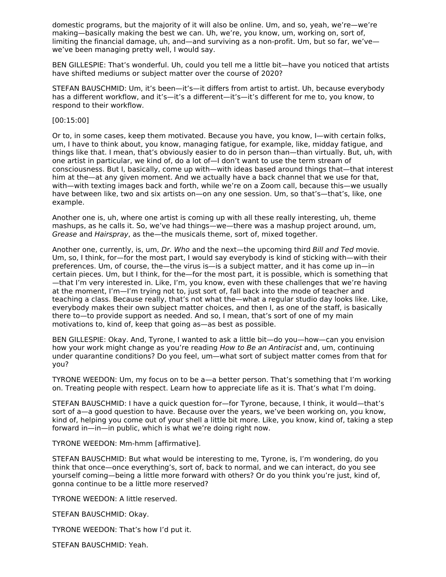domestic programs, but the majority of it will also be online. Um, and so, yeah, we're—we're making—basically making the best we can. Uh, we're, you know, um, working on, sort of, limiting the financial damage, uh, and—and surviving as a non-profit. Um, but so far, we've we've been managing pretty well, I would say.

BEN GILLESPIE: That's wonderful. Uh, could you tell me a little bit—have you noticed that artists have shifted mediums or subject matter over the course of 2020?

STEFAN BAUSCHMID: Um, it's been—it's—it differs from artist to artist. Uh, because everybody has a different workflow, and it's—it's a different—it's—it's different for me to, you know, to respond to their workflow.

#### [00:15:00]

Or to, in some cases, keep them motivated. Because you have, you know, I—with certain folks, um, I have to think about, you know, managing fatigue, for example, like, midday fatigue, and things like that. I mean, that's obviously easier to do in person than—than virtually. But, uh, with one artist in particular, we kind of, do a lot of—I don't want to use the term stream of consciousness. But I, basically, come up with—with ideas based around things that—that interest him at the—at any given moment. And we actually have a back channel that we use for that, with—with texting images back and forth, while we're on a Zoom call, because this—we usually have between like, two and six artists on—on any one session. Um, so that's—that's, like, one example.

Another one is, uh, where one artist is coming up with all these really interesting, uh, theme mashups, as he calls it. So, we've had things—we—there was a mashup project around, um, Grease and Hairspray, as the—the musicals theme, sort of, mixed together.

Another one, currently, is, um, Dr. Who and the next—the upcoming third Bill and Ted movie. Um, so, I think, for—for the most part, I would say everybody is kind of sticking with—with their preferences. Um, of course, the—the virus is—is a subject matter, and it has come up in—in certain pieces. Um, but I think, for the—for the most part, it is possible, which is something that —that I'm very interested in. Like, I'm, you know, even with these challenges that we're having at the moment, I'm—I'm trying not to, just sort of, fall back into the mode of teacher and teaching a class. Because really, that's not what the—what a regular studio day looks like. Like, everybody makes their own subject matter choices, and then I, as one of the staff, is basically there to—to provide support as needed. And so, I mean, that's sort of one of my main motivations to, kind of, keep that going as—as best as possible.

BEN GILLESPIE: Okay. And, Tyrone, I wanted to ask a little bit—do you—how—can you envision how your work might change as you're reading How to Be an Antiracist and, um, continuing under quarantine conditions? Do you feel, um—what sort of subject matter comes from that for you?

TYRONE WEEDON: Um, my focus on to be a—a better person. That's something that I'm working on. Treating people with respect. Learn how to appreciate life as it is. That's what I'm doing.

STEFAN BAUSCHMID: I have a quick question for—for Tyrone, because, I think, it would—that's sort of a—a good question to have. Because over the years, we've been working on, you know, kind of, helping you come out of your shell a little bit more. Like, you know, kind of, taking a step forward in—in—in public, which is what we're doing right now.

TYRONE WEEDON: Mm-hmm [affirmative].

STEFAN BAUSCHMID: But what would be interesting to me, Tyrone, is, I'm wondering, do you think that once—once everything's, sort of, back to normal, and we can interact, do you see yourself coming—being a little more forward with others? Or do you think you're just, kind of, gonna continue to be a little more reserved?

TYRONE WEEDON: A little reserved.

STEFAN BAUSCHMID: Okay.

TYRONE WEEDON: That's how I'd put it.

STEFAN BAUSCHMID: Yeah.